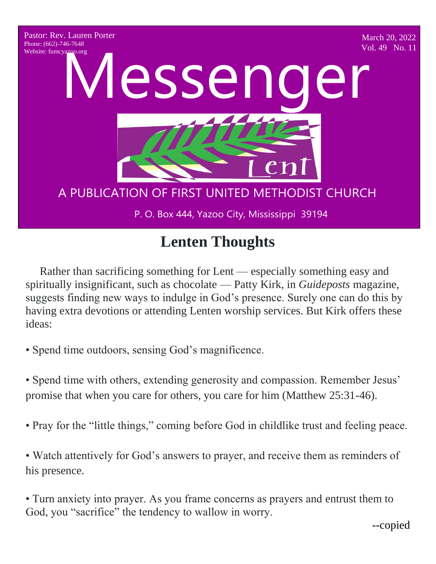

# **Lenten Thoughts**

 Rather than sacrificing something for Lent — especially something easy and spiritually insignificant, such as chocolate — Patty Kirk, in *Guideposts* magazine, suggests finding new ways to indulge in God's presence. Surely one can do this by having extra devotions or attending Lenten worship services. But Kirk offers these ideas:

• Spend time outdoors, sensing God's magnificence.

• Spend time with others, extending generosity and compassion. Remember Jesus' promise that when you care for others, you care for him (Matthew 25:31-46).

• Pray for the "little things," coming before God in childlike trust and feeling peace.

• Watch attentively for God's answers to prayer, and receive them as reminders of his presence.

• Turn anxiety into prayer. As you frame concerns as prayers and entrust them to God, you "sacrifice" the tendency to wallow in worry.

--copied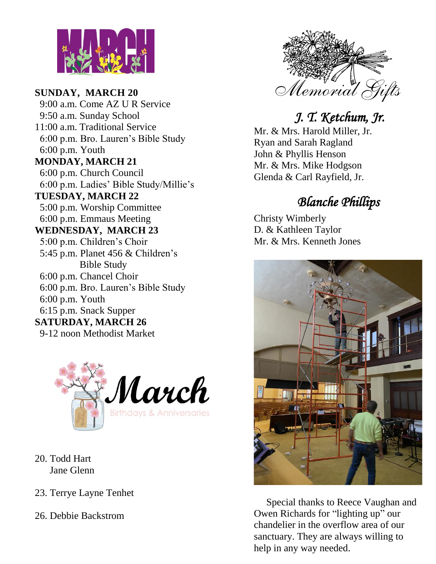

#### **SUNDAY, MARCH 20**

 9:00 a.m. Come AZ U R Service 9:50 a.m. Sunday School 11:00 a.m. Traditional Service 6:00 p.m. Bro. Lauren's Bible Study 6:00 p.m. Youth **MONDAY, MARCH 21** 6:00 p.m. Church Council 6:00 p.m. Ladies' Bible Study/Millie's **TUESDAY, MARCH 22** 5:00 p.m. Worship Committee 6:00 p.m. Emmaus Meeting **WEDNESDAY, MARCH 23** 5:00 p.m. Children's Choir 5:45 p.m. Planet 456 & Children's Bible Study 6:00 p.m. Chancel Choir 6:00 p.m. Bro. Lauren's Bible Study 6:00 p.m. Youth 6:15 p.m. Snack Supper **SATURDAY, MARCH 26** 9-12 noon Methodist Market



- 20. Todd Hart Jane Glenn
- 23. Terrye Layne Tenhet
- 26. Debbie Backstrom



# *J. T. Ketchum, Jr.*

Mr. & Mrs. Harold Miller, Jr. Ryan and Sarah Ragland John & Phyllis Henson Mr. & Mrs. Mike Hodgson Glenda & Carl Rayfield, Jr.

# *Blanche Phillips*

Christy Wimberly D. & Kathleen Taylor Mr. & Mrs. Kenneth Jones



 Special thanks to Reece Vaughan and Owen Richards for "lighting up" our chandelier in the overflow area of our sanctuary. They are always willing to help in any way needed.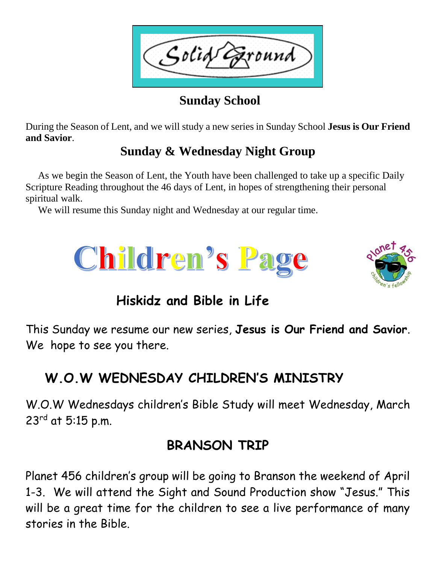Solid ound

#### **Sunday School**

During the Season of Lent, and we will study a new series in Sunday School **Jesus is Our Friend and Savior**.

#### **Sunday & Wednesday Night Group**

 As we begin the Season of Lent, the Youth have been challenged to take up a specific Daily Scripture Reading throughout the 46 days of Lent, in hopes of strengthening their personal spiritual walk.

We will resume this Sunday night and Wednesday at our regular time.





# **Hiskidz and Bible in Life**

This Sunday we resume our new series, **Jesus is Our Friend and Savior**. We hope to see you there.

# **W.O.W WEDNESDAY CHILDREN'S MINISTRY**

W.O.W Wednesdays children's Bible Study will meet Wednesday, March 23rd at 5:15 p.m.

#### **BRANSON TRIP**

Planet 456 children's group will be going to Branson the weekend of April 1-3. We will attend the Sight and Sound Production show "Jesus." This will be a great time for the children to see a live performance of many stories in the Bible.